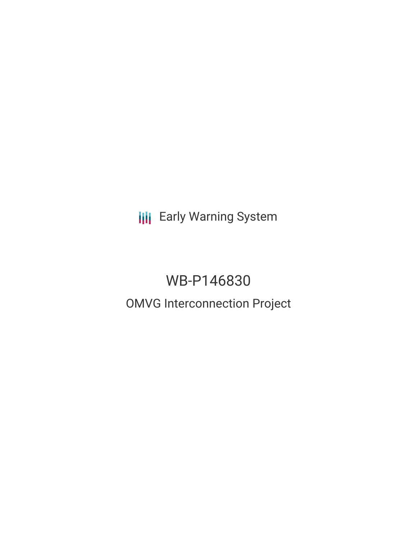**III** Early Warning System

# WB-P146830

# OMVG Interconnection Project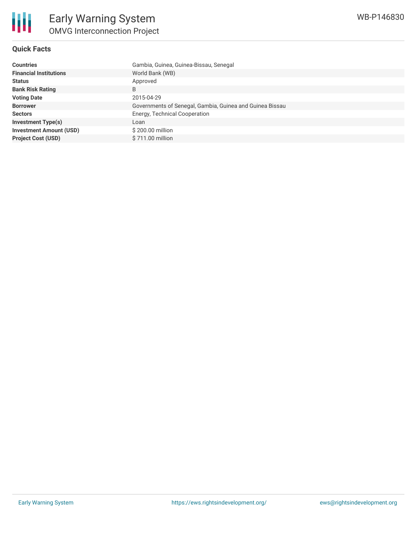#### **Quick Facts**

| <b>Countries</b>               | Gambia, Guinea, Guinea-Bissau, Senegal                   |
|--------------------------------|----------------------------------------------------------|
| <b>Financial Institutions</b>  | World Bank (WB)                                          |
| <b>Status</b>                  | Approved                                                 |
| <b>Bank Risk Rating</b>        | B                                                        |
| <b>Voting Date</b>             | 2015-04-29                                               |
| <b>Borrower</b>                | Governments of Senegal, Gambia, Guinea and Guinea Bissau |
| <b>Sectors</b>                 | Energy, Technical Cooperation                            |
| <b>Investment Type(s)</b>      | Loan                                                     |
| <b>Investment Amount (USD)</b> | \$200.00 million                                         |
| <b>Project Cost (USD)</b>      | \$711.00 million                                         |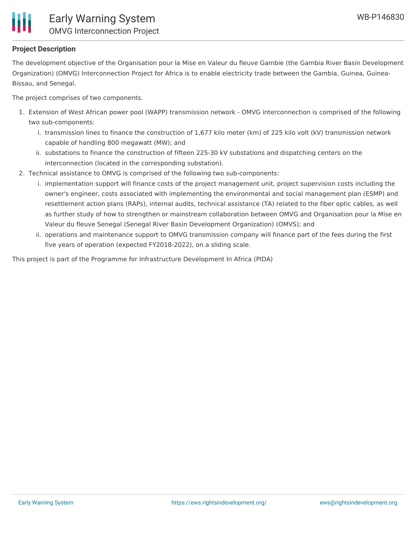

# **Project Description**

The development objective of the Organisation pour la Mise en Valeur du fleuve Gambie (the Gambia River Basin Development Organization) (OMVG) Interconnection Project for Africa is to enable electricity trade between the Gambia, Guinea, Guinea-Bissau, and Senegal.

The project comprises of two components.

- 1. Extension of West African power pool (WAPP) transmission network OMVG interconnection is comprised of the following two sub-components:
	- i. transmission lines to finance the construction of 1,677 kilo meter (km) of 225 kilo volt (kV) transmission network capable of handling 800 megawatt (MW); and
	- ii. substations to finance the construction of fifteen 225-30 kV substations and dispatching centers on the interconnection (located in the corresponding substation).
- 2. Technical assistance to OMVG is comprised of the following two sub-components:
	- i. implementation support will finance costs of the project management unit, project supervision costs including the owner's engineer, costs associated with implementing the environmental and social management plan (ESMP) and resettlement action plans (RAPs), internal audits, technical assistance (TA) related to the fiber optic cables, as well as further study of how to strengthen or mainstream collaboration between OMVG and Organisation pour la Mise en Valeur du fleuve Senegal (Senegal River Basin Development Organization) (OMVS); and
	- ii. operations and maintenance support to OMVG transmission company will finance part of the fees during the first five years of operation (expected FY2018-2022), on a sliding scale.

This project is part of the Programme for Infrastructure Development In Africa (PIDA)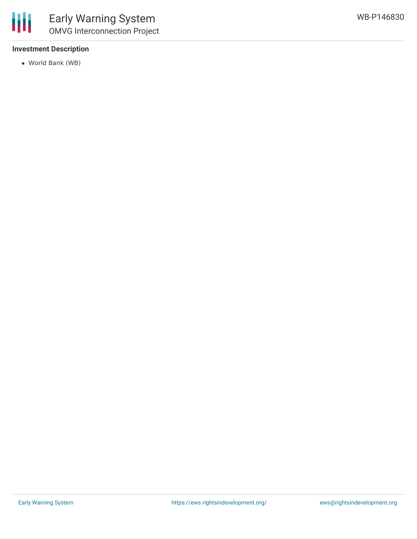## **Investment Description**

World Bank (WB)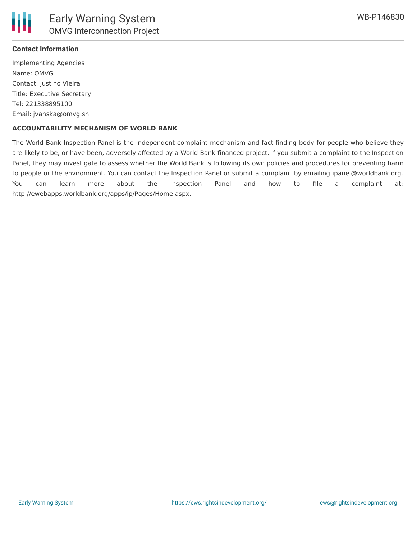

# **Contact Information**

Implementing Agencies Name: OMVG Contact: Justino Vieira Title: Executive Secretary Tel: 221338895100 Email: jvanska@omvg.sn

#### **ACCOUNTABILITY MECHANISM OF WORLD BANK**

The World Bank Inspection Panel is the independent complaint mechanism and fact-finding body for people who believe they are likely to be, or have been, adversely affected by a World Bank-financed project. If you submit a complaint to the Inspection Panel, they may investigate to assess whether the World Bank is following its own policies and procedures for preventing harm to people or the environment. You can contact the Inspection Panel or submit a complaint by emailing ipanel@worldbank.org. You can learn more about the Inspection Panel and how to file a complaint at: http://ewebapps.worldbank.org/apps/ip/Pages/Home.aspx.